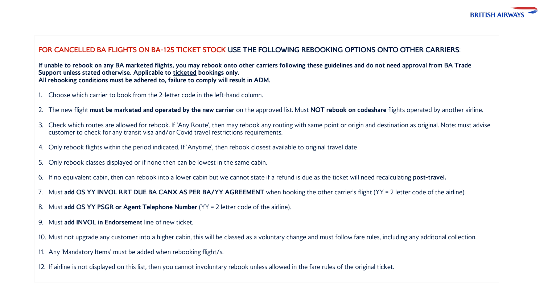

## **FOR CANCELLED BA FLIGHTS ON BA-125 TICKET STOCK USE THE FOLLOWING REBOOKING OPTIONS ONTO OTHER CARRIERS**:

**If unable to rebook on any BA marketed flights, you may rebook onto other carriers following these guidelines and do not need approval from BA Trade Support unless stated otherwise. Applicable to ticketed bookings only. All rebooking conditions must be adhered to, failure to comply will result in ADM.** 

- 1. Choose which carrier to book from the 2-letter code in the left-hand column.
- 2. The new flight **must be marketed and operated by the new carrier** on the approved list. Must **NOT rebook on codeshare** flights operated by another airline.
- 3. Check which routes are allowed for rebook. If 'Any Route', then may rebook any routing with same point or origin and destination as original. Note: must advise customer to check for any transit visa and/or Covid travel restrictions requirements.
- 4. Only rebook flights within the period indicated. If 'Anytime', then rebook closest available to original travel date
- 5. Only rebook classes displayed or if none then can be lowest in the same cabin.
- 6. If no equivalent cabin, then can rebook into a lower cabin but we cannot state if a refund is due as the ticket will need recalculating **post-travel.**
- 7. Must **add OS YY INVOL RRT DUE BA CANX AS PER BA/YY AGREEMENT** when booking the other carrier's flight (YY = 2 letter code of the airline).
- 8. Must **add OS YY PSGR or Agent Telephone Number** (YY = 2 letter code of the airline).
- 9. Must **add INVOL in Endorsement** line of new ticket.
- 10. Must not upgrade any customer into a higher cabin, this will be classed as a voluntary change and must follow fare rules, including any additonal collection.
- 11. Any 'Mandatory Items' must be added when rebooking flight/s.
- 12. If airline is not displayed on this list, then you cannot involuntary rebook unless allowed in the fare rules of the original ticket.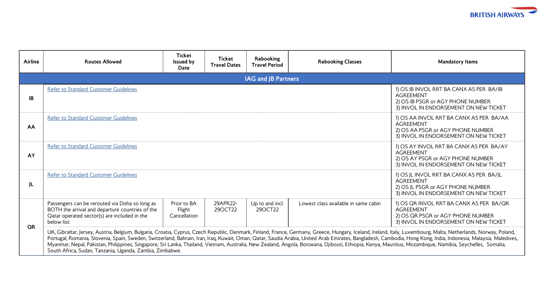

| Airline   | <b>Routes Allowed</b>                                                                                                                                                                                                                                                                                                                                                                                                                                                                                                                                                                                                                                                                                        | <b>Ticket</b><br><b>Issued by</b><br>Date | Ticket<br><b>Travel Dates</b> | Rebooking<br><b>Travel Period</b> | <b>Rebooking Classes</b>             | <b>Mandatory Items</b>                                                                                                                    |  |  |  |  |  |  |  |
|-----------|--------------------------------------------------------------------------------------------------------------------------------------------------------------------------------------------------------------------------------------------------------------------------------------------------------------------------------------------------------------------------------------------------------------------------------------------------------------------------------------------------------------------------------------------------------------------------------------------------------------------------------------------------------------------------------------------------------------|-------------------------------------------|-------------------------------|-----------------------------------|--------------------------------------|-------------------------------------------------------------------------------------------------------------------------------------------|--|--|--|--|--|--|--|
|           | IAG and JB Partners                                                                                                                                                                                                                                                                                                                                                                                                                                                                                                                                                                                                                                                                                          |                                           |                               |                                   |                                      |                                                                                                                                           |  |  |  |  |  |  |  |
| <b>IB</b> | <b>Refer to Standard Customer Guidelines</b>                                                                                                                                                                                                                                                                                                                                                                                                                                                                                                                                                                                                                                                                 |                                           |                               |                                   |                                      | 1) OS IB INVOL RRT BA CANX AS PER BA/IB<br><b>AGREEMENT</b><br>2) OS IB PSGR or AGY PHONE NUMBER<br>3) INVOL IN ENDORSEMENT ON NEW TICKET |  |  |  |  |  |  |  |
| AA        | <b>Refer to Standard Customer Guidelines</b>                                                                                                                                                                                                                                                                                                                                                                                                                                                                                                                                                                                                                                                                 |                                           |                               |                                   |                                      | 1) OS AA INVOL RRT BA CANX AS PER BA/AA<br><b>AGREEMENT</b><br>2) OS AA PSGR or AGY PHONE NUMBER<br>3) INVOL IN ENDORSEMENT ON NEW TICKET |  |  |  |  |  |  |  |
| AY        | <b>Refer to Standard Customer Guidelines</b>                                                                                                                                                                                                                                                                                                                                                                                                                                                                                                                                                                                                                                                                 |                                           |                               |                                   |                                      | 1) OS AY INVOL RRT BA CANX AS PER BA/AY<br><b>AGREEMENT</b><br>2) OS AY PSGR or AGY PHONE NUMBER<br>3) INVOL IN ENDORSEMENT ON NEW TICKET |  |  |  |  |  |  |  |
| JL        | <b>Refer to Standard Customer Guidelines</b>                                                                                                                                                                                                                                                                                                                                                                                                                                                                                                                                                                                                                                                                 |                                           |                               |                                   |                                      | 1) OS JL INVOL RRT BA CANX AS PER BA/JL<br><b>AGREEMENT</b><br>2) OS JL PSGR or AGY PHONE NUMBER<br>3) INVOL IN ENDORSEMENT ON NEW TICKET |  |  |  |  |  |  |  |
| <b>OR</b> | Passengers can be rerouted via Doha so long as<br>BOTH the arrival and departure countries of the<br>Qatar operated sector(s) are included in the<br>below list:                                                                                                                                                                                                                                                                                                                                                                                                                                                                                                                                             | Prior to BA<br>Flight<br>Cancellation     | 29APR22-<br>29OCT22           | Up to and incl.<br>290CT22        | Lowest class available in same cabin | 1) OS QR INVOL RRT BA CANX AS PER BA/QR<br><b>AGREEMENT</b><br>2) OS QR PSGR or AGY PHONE NUMBER<br>3) INVOL IN ENDORSEMENT ON NEW TICKET |  |  |  |  |  |  |  |
|           | UK, Gibraltar, Jersey, Austria, Belgium, Bulgaria, Croatia, Cyprus, Czech Republic, Denmark, Finland, France, Germany, Greece, Hungary, Iceland, Ireland, Italy, Luxembourg, Malta, Netherlands, Norway, Poland,<br>Portugal, Romania, Slovenia, Spain, Sweden, Switzerland, Bahrain, Iran, Iraq, Kuwait, Oman, Qatar, Saudia Arabia, United Arab Emirates, Bangladesh, Cambodia, Hong Kong, India, Indonesia, Malaysia, Maledives,<br>Myanmar, Nepal, Pakistan, Philippines, Singapore, Sri Lanka, Thailand, Vietnam, Australia, New Zealand, Angola, Botswana, Djibouti, Ethiopia, Kenya, Mauritius, Mozambique, Namibia, Seychelles, Somalia,<br>South Africa, Sudan, Tanzania, Uganda, Zambia, Zimbabwe. |                                           |                               |                                   |                                      |                                                                                                                                           |  |  |  |  |  |  |  |